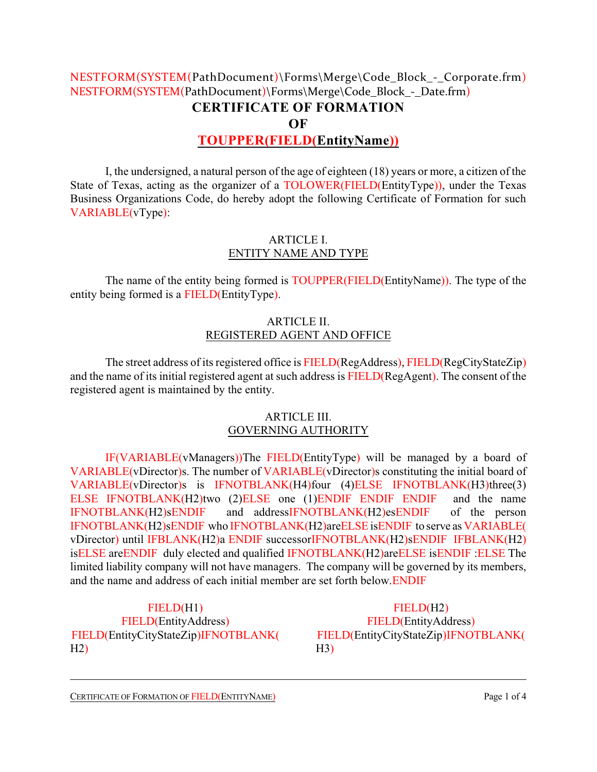# NESTFORM(SYSTEM(PathDocument)\Forms\Merge\Code\_Block\_-\_Corporate.frm) NESTFORM(SYSTEM(PathDocument)\Forms\Merge\Code\_Block - Date.frm) **CERTIFICATE OF FORMATION OF TOUPPER(FIELD(EntityName))**

I, the undersigned, a natural person of the age of eighteen (18) years or more, a citizen of the State of Texas, acting as the organizer of a TOLOWER(FIELD(EntityType)), under the Texas Business Organizations Code, do hereby adopt the following Certificate of Formation for such VARIABLE(vType):

## ARTICLE I. ENTITY NAME AND TYPE

The name of the entity being formed is TOUPPER(FIELD(EntityName)). The type of the entity being formed is a FIELD(EntityType).

## ARTICLE II. REGISTERED AGENT AND OFFICE

The street address of its registered office is FIELD(RegAddress), FIELD(RegCityStateZip) and the name of its initial registered agent at such address is FIELD(RegAgent). The consent of the registered agent is maintained by the entity.

#### ARTICLE III. GOVERNING AUTHORITY

IF(VARIABLE(vManagers))The FIELD(EntityType) will be managed by a board of VARIABLE(vDirector)s. The number of VARIABLE(vDirector)s constituting the initial board of VARIABLE(vDirector)s is IFNOTBLANK(H4)four (4)ELSE IFNOTBLANK(H3)three(3) ELSE IFNOTBLANK(H2)two (2)ELSE one (1)ENDIF ENDIF ENDIF and the name IFNOTBLANK(H2)sENDIF and addressIFNOTBLANK(H2)esENDIF of the person IFNOTBLANK(H2)sENDIF who IFNOTBLANK(H2)areELSEisENDIF to serve as VARIABLE( vDirector) until IFBLANK(H2)a ENDIF successorIFNOTBLANK(H2)sENDIF IFBLANK(H2) isELSE areENDIF duly elected and qualified IFNOTBLANK(H2)areELSE isENDIF :ELSE The limited liability company will not have managers. The company will be governed by its members, and the name and address of each initial member are set forth below.ENDIF

FIELD(H1) FIELD(EntityAddress) FIELD(EntityCityStateZip)IFNOTBLANK(  $H2$ 

FIELD(H2) FIELD(EntityAddress) FIELD(EntityCityStateZip)IFNOTBLANK( H3)

CERTIFICATE OF FORMATION OF FIELD(ENTITYNAME) Page 1 of 4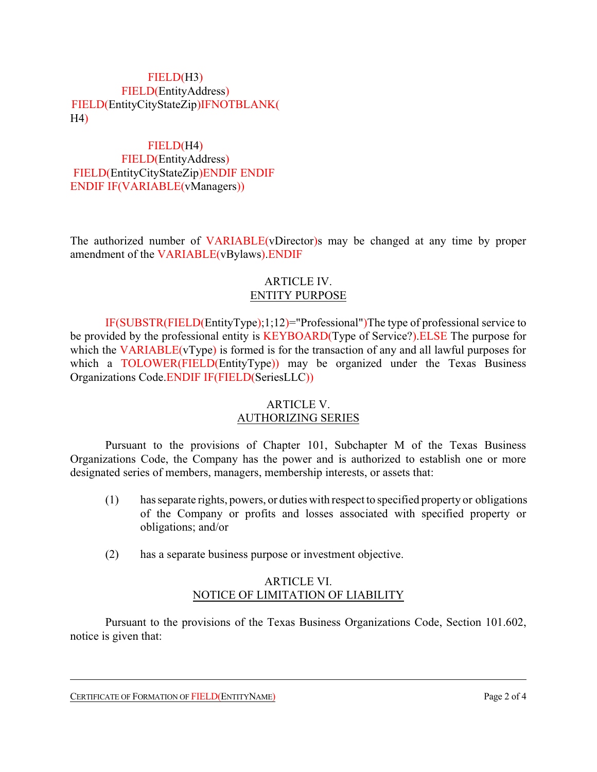## FIELD(H3) FIELD(EntityAddress) FIELD(EntityCityStateZip)IFNOTBLANK( H4)

FIELD(H4) FIELD(EntityAddress) FIELD(EntityCityStateZip)ENDIF ENDIF ENDIF IF(VARIABLE(vManagers))

The authorized number of VARIABLE(vDirector)s may be changed at any time by proper amendment of the VARIABLE(vBylaws).ENDIF

## ARTICLE IV. ENTITY PURPOSE

IF(SUBSTR(FIELD(EntityType);1;12)="Professional")The type of professional service to be provided by the professional entity is KEYBOARD(Type of Service?). ELSE The purpose for which the VARIABLE(vType) is formed is for the transaction of any and all lawful purposes for which a TOLOWER(FIELD(EntityType)) may be organized under the Texas Business Organizations Code.ENDIF IF(FIELD(SeriesLLC))

### ARTICLE V. AUTHORIZING SERIES

Pursuant to the provisions of Chapter 101, Subchapter M of the Texas Business Organizations Code, the Company has the power and is authorized to establish one or more designated series of members, managers, membership interests, or assets that:

- (1) has separate rights, powers, or duties with respect to specified property or obligations of the Company or profits and losses associated with specified property or obligations; and/or
- (2) has a separate business purpose or investment objective.

### ARTICLE VI. NOTICE OF LIMITATION OF LIABILITY

Pursuant to the provisions of the Texas Business Organizations Code, Section 101.602, notice is given that:

CERTIFICATE OF FORMATION OF FIELD(ENTITYNAME) Page 2 of 4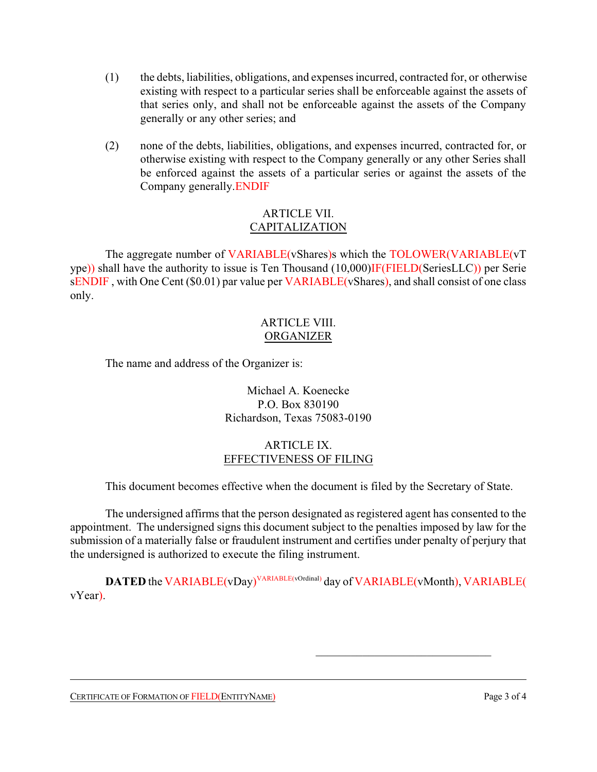- (1) the debts, liabilities, obligations, and expenses incurred, contracted for, or otherwise existing with respect to a particular series shall be enforceable against the assets of that series only, and shall not be enforceable against the assets of the Company generally or any other series; and
- (2) none of the debts, liabilities, obligations, and expenses incurred, contracted for, or otherwise existing with respect to the Company generally or any other Series shall be enforced against the assets of a particular series or against the assets of the Company generally.ENDIF

### ARTICLE VII. CAPITALIZATION

The aggregate number of VARIABLE(vShares)s which the TOLOWER(VARIABLE(vT ype)) shall have the authority to issue is Ten Thousand (10,000)IF(FIELD(SeriesLLC)) per Serie sENDIF, with One Cent (\$0.01) par value per VARIABLE(vShares), and shall consist of one class only.

### ARTICLE VIII. ORGANIZER

The name and address of the Organizer is:

Michael A. Koenecke P.O. Box 830190 Richardson, Texas 75083-0190

## ARTICLE IX. EFFECTIVENESS OF FILING

This document becomes effective when the document is filed by the Secretary of State.

The undersigned affirms that the person designated as registered agent has consented to the appointment. The undersigned signs this document subject to the penalties imposed by law for the submission of a materially false or fraudulent instrument and certifies under penalty of perjury that the undersigned is authorized to execute the filing instrument.

**DATED** the VARIABLE(vDay)<sup>VARIABLE(vOrdinal)</sup> day of VARIABLE(vMonth), VARIABLE( vYear).

CERTIFICATE OF FORMATION OF FIELD(ENTITYNAME) Page 3 of 4

\_\_\_\_\_\_\_\_\_\_\_\_\_\_\_\_\_\_\_\_\_\_\_\_\_\_\_\_\_\_